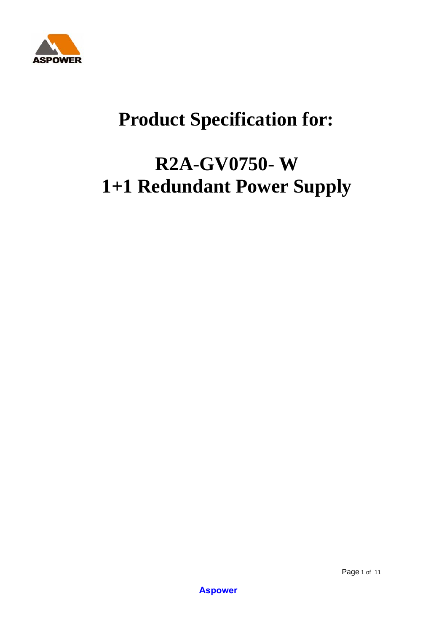

# **Product Specification for:**

# **R2A-GV0750- W 1+1 Redundant Power Supply**

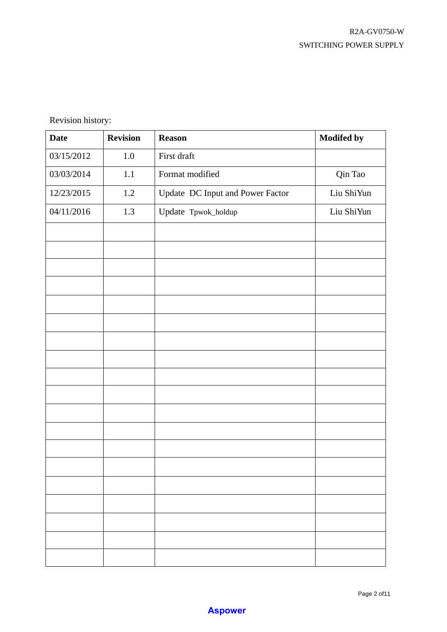Revision history:

| <b>Date</b> | <b>Revision</b> | <b>Reason</b>                    | <b>Modifed by</b> |
|-------------|-----------------|----------------------------------|-------------------|
| 03/15/2012  | $1.0\,$         | First draft                      |                   |
| 03/03/2014  | 1.1             | Format modified                  | Qin Tao           |
| 12/23/2015  | $1.2\,$         | Update DC Input and Power Factor | Liu ShiYun        |
| 04/11/2016  | 1.3             | Update Tpwok_holdup              | Liu ShiYun        |
|             |                 |                                  |                   |
|             |                 |                                  |                   |
|             |                 |                                  |                   |
|             |                 |                                  |                   |
|             |                 |                                  |                   |
|             |                 |                                  |                   |
|             |                 |                                  |                   |
|             |                 |                                  |                   |
|             |                 |                                  |                   |
|             |                 |                                  |                   |
|             |                 |                                  |                   |
|             |                 |                                  |                   |
|             |                 |                                  |                   |
|             |                 |                                  |                   |
|             |                 |                                  |                   |
|             |                 |                                  |                   |
|             |                 |                                  |                   |
|             |                 |                                  |                   |
|             |                 |                                  |                   |

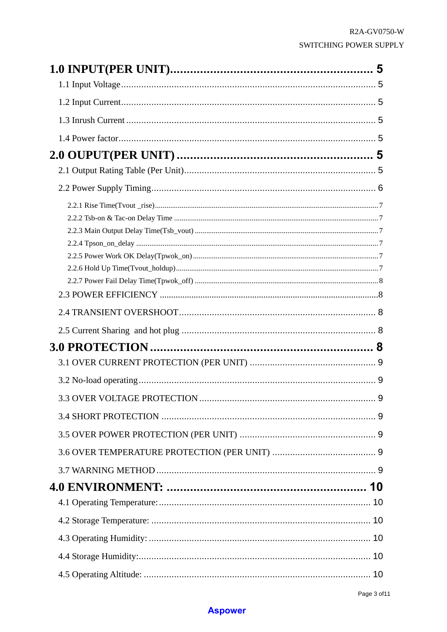| 9 |
|---|
|   |
|   |
|   |
|   |
|   |
|   |
|   |
|   |
|   |
|   |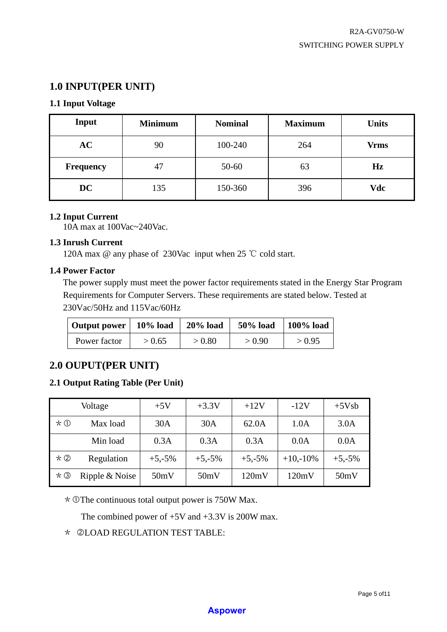# **1.0 INPUT(PER UNIT)**

# **1.1 Input Voltage**

| Input            | <b>Minimum</b> | <b>Nominal</b> | <b>Maximum</b> | <b>Units</b> |
|------------------|----------------|----------------|----------------|--------------|
| AC               | 90             | 100-240        | 264            | <b>Vrms</b>  |
| <b>Frequency</b> | 47             | 50-60          | 63             | Hz           |
| DC               | 135            | 150-360        | 396            | Vdc          |

## **1.2 Input Current**

10A max at 100Vac~240Vac.

## **1.3 Inrush Current**

120A max @ any phase of 230Vac input when 25 ℃ cold start.

## **1.4 Power Factor**

The power supply must meet the power factor requirements stated in the Energy Star Program Requirements for Computer Servers. These requirements are stated below. Tested at 230Vac/50Hz and 115Vac/60Hz

| Output power   10% load |        | $20\%$ load | <b>50% load</b> | $100\%$ load |
|-------------------------|--------|-------------|-----------------|--------------|
| Power factor            | > 0.65 | > 0.80      | > 0.90          | > 0.95       |

# **2.0 OUPUT(PER UNIT)**

## **2.1 Output Rating Table (Per Unit)**

|                       | Voltage        | $+5V$    | $+3.3V$  | $+12V$   | $-12V$     | $+5Vsb$  |
|-----------------------|----------------|----------|----------|----------|------------|----------|
| $\star \, \mathbb{O}$ | Max load       | 30A      | 30A      | 62.0A    | 1.0A       | 3.0A     |
|                       | Min load       | 0.3A     | 0.3A     | 0.3A     | 0.0A       | 0.0A     |
| $*$ ②                 | Regulation     | $+5,-5%$ | $+5,-5%$ | $+5,-5%$ | $+10,-10%$ | $+5,-5%$ |
| $*$ ③                 | Ripple & Noise | 50mV     | 50mV     | 120mV    | 120mV      | 50mV     |

 $*$  OThe continuous total output power is 750W Max.

The combined power of  $+5V$  and  $+3.3V$  is 200W max.

## \* dLOAD REGULATION TEST TABLE: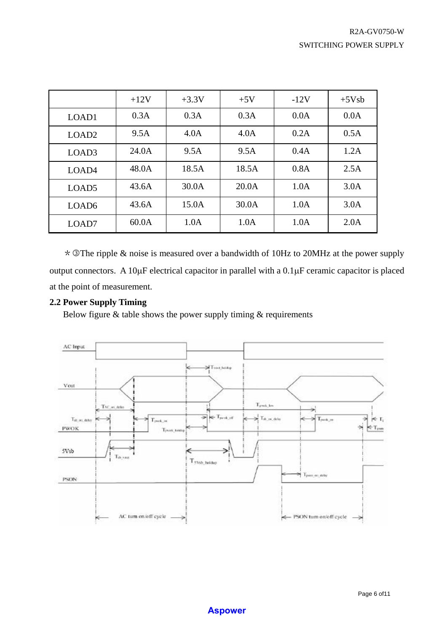|                   | $+12V$ | $+3.3V$ | $+5V$ | $-12V$ | $+5Vsb$ |
|-------------------|--------|---------|-------|--------|---------|
| LOAD1             | 0.3A   | 0.3A    | 0.3A  | 0.0A   | 0.0A    |
| LOAD <sub>2</sub> | 9.5A   | 4.0A    | 4.0A  | 0.2A   | 0.5A    |
| LOAD <sub>3</sub> | 24.0A  | 9.5A    | 9.5A  | 0.4A   | 1.2A    |
| LOAD <sub>4</sub> | 48.0A  | 18.5A   | 18.5A | 0.8A   | 2.5A    |
| LOAD <sub>5</sub> | 43.6A  | 30.0A   | 20.0A | 1.0A   | 3.0A    |
| LOAD <sub>6</sub> | 43.6A  | 15.0A   | 30.0A | 1.0A   | 3.0A    |
| LOAD7             | 60.0A  | 1.0A    | 1.0A  | 1.0A   | 2.0A    |

\*3The ripple & noise is measured over a bandwidth of 10Hz to 20MHz at the power supply output connectors. A 10μF electrical capacitor in parallel with a 0.1μF ceramic capacitor is placed at the point of measurement.

## **2.2 Power Supply Timing**

Below figure  $&$  table shows the power supply timing  $&$  requirements

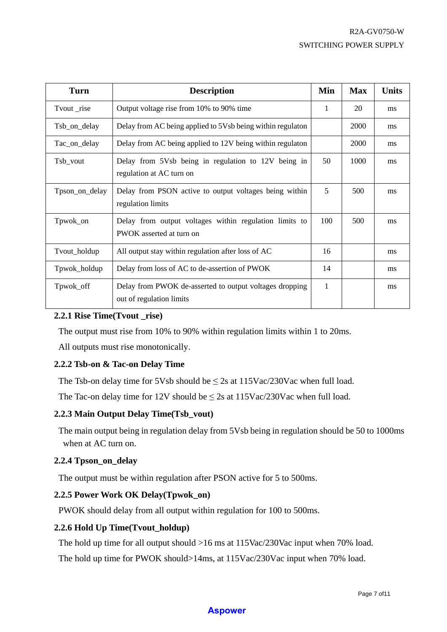| <b>Turn</b>    | <b>Description</b>                                                                  | Min | <b>Max</b> | <b>Units</b> |
|----------------|-------------------------------------------------------------------------------------|-----|------------|--------------|
| Tvout _rise    | Output voltage rise from 10% to 90% time                                            | 1   | 20         | ms           |
| Tsb_on_delay   | Delay from AC being applied to 5Vsb being within regulaton                          |     | 2000       | ms           |
| Tac_on_delay   | Delay from AC being applied to 12V being within regulaton                           |     | 2000       | ms           |
| Tsb_vout       | Delay from 5Vsb being in regulation to 12V being in<br>regulation at AC turn on     | 50  | 1000       | ms           |
| Tpson_on_delay | Delay from PSON active to output voltages being within<br>regulation limits         | 5   | 500        | ms           |
| Tpwok_on       | Delay from output voltages within regulation limits to<br>PWOK asserted at turn on  | 100 | 500        | ms           |
| Tvout_holdup   | All output stay within regulation after loss of AC                                  | 16  |            | ms           |
| Tpwok_holdup   | Delay from loss of AC to de-assertion of PWOK                                       | 14  |            | ms           |
| Tpwok_off      | Delay from PWOK de-asserted to output voltages dropping<br>out of regulation limits | 1   |            | ms           |

## **2.2.1 Rise Time(Tvout \_rise)**

The output must rise from 10% to 90% within regulation limits within 1 to 20ms.

All outputs must rise monotonically.

## **2.2.2 Tsb-on & Tac-on Delay Time**

The Tsb-on delay time for 5Vsb should be  $\leq$  2s at 115Vac/230Vac when full load.

The Tac-on delay time for 12V should be  $\leq$  2s at 115Vac/230Vac when full load.

## **2.2.3 Main Output Delay Time(Tsb\_vout)**

The main output being in regulation delay from 5Vsb being in regulation should be 50 to 1000ms when at AC turn on.

## **2.2.4 Tpson\_on\_delay**

The output must be within regulation after PSON active for 5 to 500ms.

## **2.2.5 Power Work OK Delay(Tpwok\_on)**

PWOK should delay from all output within regulation for 100 to 500ms.

## **2.2.6 Hold Up Time(Tvout\_holdup)**

The hold up time for all output should >16 ms at 115Vac/230Vac input when 70% load.

The hold up time for PWOK should>14ms, at 115Vac/230Vac input when 70% load.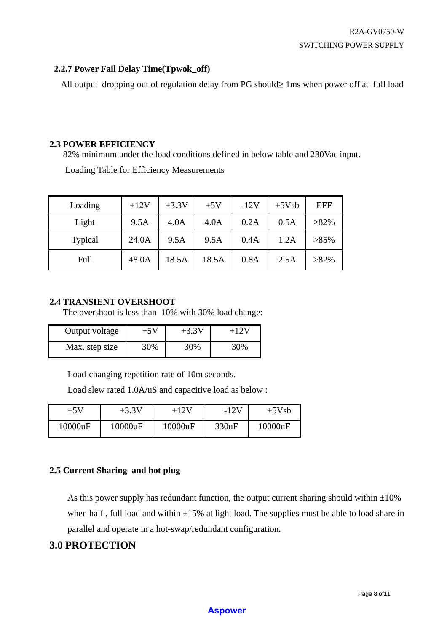## **2.2.7 Power Fail Delay Time(Tpwok\_off)**

All output dropping out of regulation delay from PG should≥ 1ms when power off at full load

## **2.3 POWER EFFICIENCY**

82% minimum under the load conditions defined in below table and 230Vac input.

Loading Table for Efficiency Measurements

| Loading        | $+12V$ | $+3.3V$ | $+5V$ | $-12V$ | $+5Vsb$ | <b>EFF</b> |
|----------------|--------|---------|-------|--------|---------|------------|
| Light          | 9.5A   | 4.0A    | 4.0A  | 0.2A   | 0.5A    | $>82\%$    |
| <b>Typical</b> | 24.0A  | 9.5A    | 9.5A  | 0.4A   | 1.2A    | $>85\%$    |
| Full           | 48.0A  | 18.5A   | 18.5A | 0.8A   | 2.5A    | $>82\%$    |

## **2.4 TRANSIENT OVERSHOOT**

The overshoot is less than 10% with 30% load change:

| Output voltage | +5V | $+3.3V$ | +12V |
|----------------|-----|---------|------|
| Max. step size | 30% | 30%     | 30%  |

Load-changing repetition rate of 10m seconds.

Load slew rated 1.0A/uS and capacitive load as below :

| $+5V$   | $+3.3V$ | +12V    | $-12V$ | $+5Vsb$ |
|---------|---------|---------|--------|---------|
| 10000uF | 10000uF | 10000uF | 330uF  | 10000uF |

## **2.5 Current Sharing and hot plug**

As this power supply has redundant function, the output current sharing should within  $\pm 10\%$ when half, full load and within  $\pm 15\%$  at light load. The supplies must be able to load share in parallel and operate in a hot-swap/redundant configuration.

# **3.0 PROTECTION**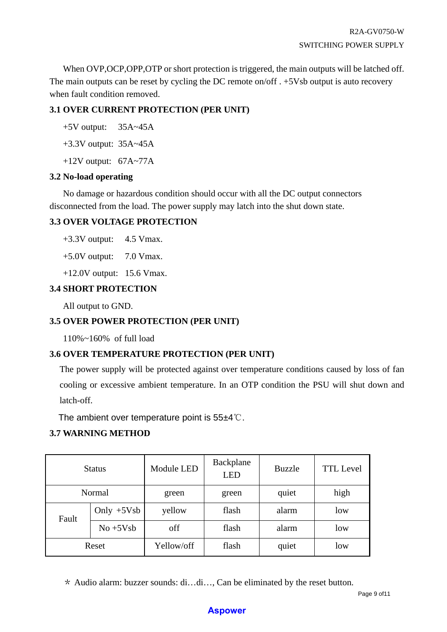When OVP, OCP, OPP, OTP or short protection is triggered, the main outputs will be latched off. The main outputs can be reset by cycling the DC remote on/off . +5Vsb output is auto recovery when fault condition removed.

# **3.1 OVER CURRENT PROTECTION (PER UNIT)**

+5V output: 35A~45A

+3.3V output: 35A~45A

+12V output: 67A~77A

## **3.2 No-load operating**

No damage or hazardous condition should occur with all the DC output connectors disconnected from the load. The power supply may latch into the shut down state.

# **3.3 OVER VOLTAGE PROTECTION**

+3.3V output: 4.5 Vmax.

 $+5.0V$  output: 7.0 Vmax.

+12.0V output: 15.6 Vmax.

# **3.4 SHORT PROTECTION**

All output to GND.

# **3.5 OVER POWER PROTECTION (PER UNIT)**

110%~160% of full load

# **3.6 OVER TEMPERATURE PROTECTION (PER UNIT)**

The power supply will be protected against over temperature conditions caused by loss of fan cooling or excessive ambient temperature. In an OTP condition the PSU will shut down and latch-off.

The ambient over temperature point is 55±4℃.

# **3.7 WARNING METHOD**

| <b>Status</b>         |  | Module LED | Backplane<br><b>LED</b> | <b>Buzzle</b> | <b>TTL</b> Level |
|-----------------------|--|------------|-------------------------|---------------|------------------|
| Normal                |  | green      | green                   | quiet         | high             |
| Only $+5Vsb$<br>Fault |  | yellow     | flash                   | alarm         | low              |
| $No + 5Vsb$           |  | off        | flash                   | alarm         | low              |
| Reset                 |  | Yellow/off | flash                   | quiet         | low              |

\* Audio alarm: buzzer sounds: di…di…, Can be eliminated by the reset button.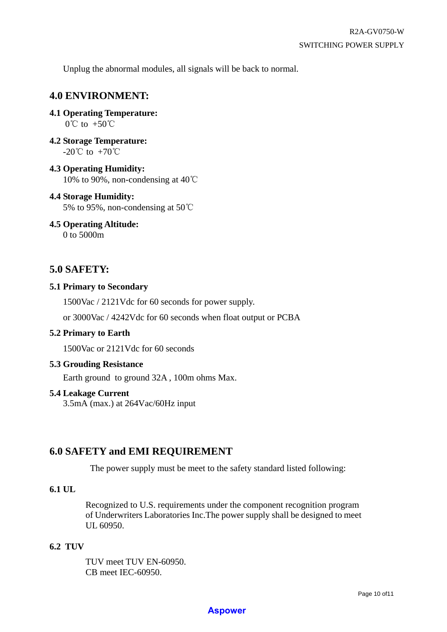Unplug the abnormal modules, all signals will be back to normal.

# **4.0 ENVIRONMENT:**

**4.1 Operating Temperature:** 

 $0^{\circ}$ C to +50 $^{\circ}$ C

**4.2 Storage Temperature:**  $-20^{\circ}$ C to  $+70^{\circ}$ C

**4.3 Operating Humidity:**  10% to 90%, non-condensing at 40℃

## **4.4 Storage Humidity:** 5% to 95%, non-condensing at 50℃

**4.5 Operating Altitude:** 

0 to 5000m

# **5.0 SAFETY:**

## **5.1 Primary to Secondary**

1500Vac / 2121Vdc for 60 seconds for power supply.

or 3000Vac / 4242Vdc for 60 seconds when float output or PCBA

## **5.2 Primary to Earth**

1500Vac or 2121Vdc for 60 seconds

## **5.3 Grouding Resistance**

Earth ground to ground 32A , 100m ohms Max.

## **5.4 Leakage Current**

3.5mA (max.) at 264Vac/60Hz input

# **6.0 SAFETY and EMI REQUIREMENT**

The power supply must be meet to the safety standard listed following:

## **6.1 UL**

Recognized to U.S. requirements under the component recognition program of Underwriters Laboratories Inc.The power supply shall be designed to meet UL 60950.

## **6.2 TUV**

TUV meet TUV EN-60950. CB meet IEC-60950.